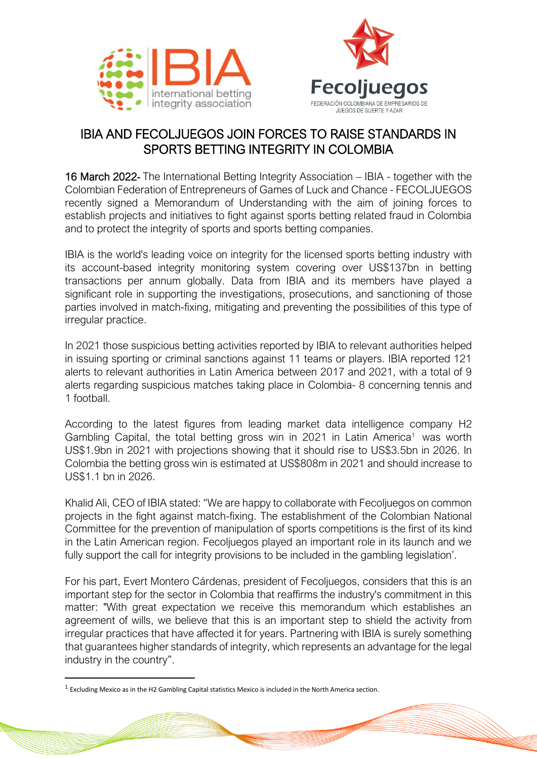



## IBIA AND FECOLJUEGOS JOIN FORCES TO RAISE STANDARDS IN SPORTS BETTING INTEGRITY IN COLOMBIA

16 March 2022- The International Betting Integrity Association – IBIA - together with the Colombian Federation of Entrepreneurs of Games of Luck and Chance - FECOLJUEGOS recently signed a Memorandum of Understanding with the aim of joining forces to establish projects and initiatives to fight against sports betting related fraud in Colombia and to protect the integrity of sports and sports betting companies.

IBIA is the world's leading voice on integrity for the licensed sports betting industry with its account-based integrity monitoring system covering over US\$137bn in betting transactions per annum globally. Data from IBIA and its members have played a significant role in supporting the investigations, prosecutions, and sanctioning of those parties involved in match-fixing, mitigating and preventing the possibilities of this type of irregular practice.

In 2021 those suspicious betting activities reported by IBIA to relevant authorities helped in issuing sporting or criminal sanctions against 11 teams or players. IBIA reported 121 alerts to relevant authorities in Latin America between 2017 and 2021, with a total of 9 alerts regarding suspicious matches taking place in Colombia- 8 concerning tennis and 1 football.

According to the latest figures from leading market data intelligence company H2 Gambling Capital, the total betting gross win in 2021 in Latin America<sup>1</sup> was worth US\$1.9bn in 2021 with projections showing that it should rise to US\$3.5bn in 2026. In Colombia the betting gross win is estimated at US\$808m in 2021 and should increase to US\$1.1 bn in 2026.

Khalid Ali, CEO of IBIA stated: "We are happy to collaborate with Fecoljuegos on common projects in the fight against match-fixing. The establishment of the Colombian National Committee for the prevention of manipulation of sports competitions is the first of its kind in the Latin American region. Fecoljuegos played an important role in its launch and we fully support the call for integrity provisions to be included in the gambling legislation'.

For his part, Evert Montero Cárdenas, president of Fecoljuegos, considers that this is an important step for the sector in Colombia that reaffirms the industry's commitment in this matter: "With great expectation we receive this memorandum which establishes an agreement of wills, we believe that this is an important step to shield the activity from irregular practices that have affected it for years. Partnering with IBIA is surely something that guarantees higher standards of integrity, which represents an advantage for the legal industry in the country".

 $<sup>1</sup>$  Excluding Mexico as in the H2 Gambling Capital statistics Mexico is included in the North America section.</sup>